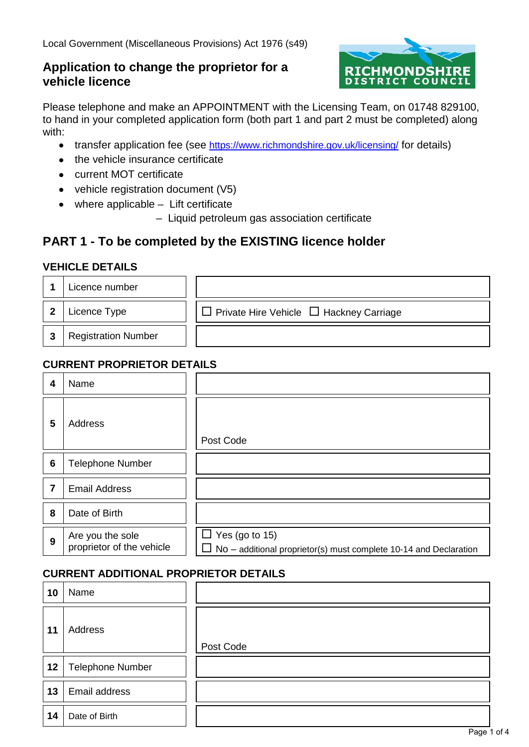# **Application to change the proprietor for a vehicle licence**



Please telephone and make an APPOINTMENT with the Licensing Team, on 01748 829100, to hand in your completed application form (both part 1 and part 2 must be completed) along with:

- transfer application fee (see<https://www.richmondshire.gov.uk/licensing/>for details)
- the vehicle insurance certificate
- current MOT certificate
- vehicle registration document (V5)
- • where applicable Lift certificate
	- Liquid petroleum gas association certificate

# **PART 1 - To be completed by the EXISTING licence holder**

#### **VEHICLE DETAILS**

|    | Licence number             |                                                     |
|----|----------------------------|-----------------------------------------------------|
| -2 | Licence Type               | $\Box$ Private Hire Vehicle $\Box$ Hackney Carriage |
| -3 | <b>Registration Number</b> |                                                     |

# **CURRENT PROPRIETOR DETAILS**

| 4               | Name                                          |                                                                                                   |
|-----------------|-----------------------------------------------|---------------------------------------------------------------------------------------------------|
| 5               | Address                                       | Post Code                                                                                         |
| $6\phantom{1}6$ | <b>Telephone Number</b>                       |                                                                                                   |
| 7               | <b>Email Address</b>                          |                                                                                                   |
| 8               | Date of Birth                                 |                                                                                                   |
| 9               | Are you the sole<br>proprietor of the vehicle | $\Box$ Yes (go to 15)<br>$\Box$ No – additional proprietor(s) must complete 10-14 and Declaration |

## **CURRENT ADDITIONAL PROPRIETOR DETAILS**

| 10 | Name                    |           |
|----|-------------------------|-----------|
| 11 | Address                 | Post Code |
| 12 | <b>Telephone Number</b> |           |
| 13 | Email address           |           |
| 14 | Date of Birth           |           |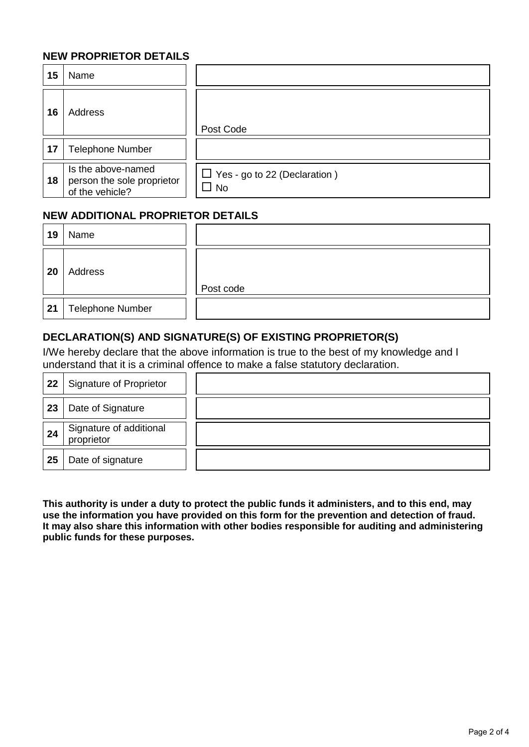#### **NEW PROPRIETOR DETAILS**

| 15 | Name                                                                |                                                     |
|----|---------------------------------------------------------------------|-----------------------------------------------------|
| 16 | Address                                                             | Post Code                                           |
| 17 | <b>Telephone Number</b>                                             |                                                     |
| 18 | Is the above-named<br>person the sole proprietor<br>of the vehicle? | $\Box$ Yes - go to 22 (Declaration)<br>$\square$ No |

## **NEW ADDITIONAL PROPRIETOR DETAILS**

| 19 | Name                    |           |
|----|-------------------------|-----------|
| 20 | Address                 | Post code |
| 21 | <b>Telephone Number</b> |           |

#### **DECLARATION(S) AND SIGNATURE(S) OF EXISTING PROPRIETOR(S)**

 understand that it is a criminal offence to make a false statutory declaration. I/We hereby declare that the above information is true to the best of my knowledge and I

| 22 | <b>Signature of Proprietor</b>        |  |
|----|---------------------------------------|--|
| 23 | Date of Signature                     |  |
| 24 | Signature of additional<br>proprietor |  |
| 25 | Date of signature                     |  |

 **This authority is under a duty to protect the public funds it administers, and to this end, may use the information you have provided on this form for the prevention and detection of fraud. It may also share this information with other bodies responsible for auditing and administering public funds for these purposes.**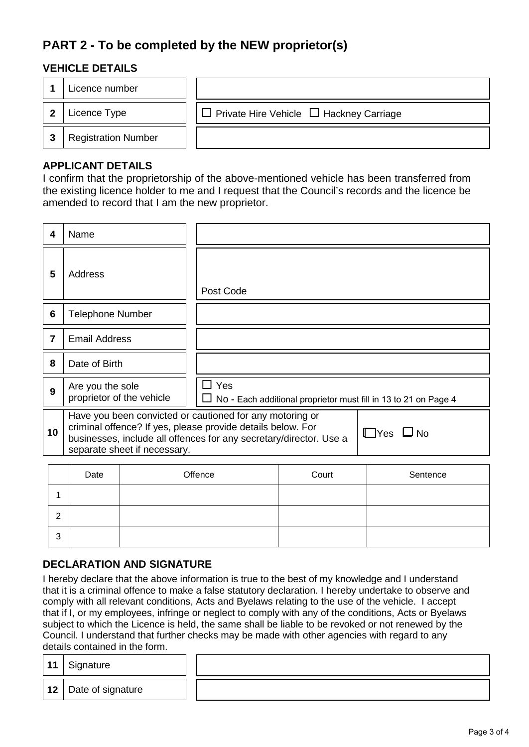# **PART 2 - To be completed by the NEW proprietor(s)**

## **VEHICLE DETAILS**

|    | Licence number             |                                                     |
|----|----------------------------|-----------------------------------------------------|
|    | Licence Type               | $\Box$ Private Hire Vehicle $\Box$ Hackney Carriage |
| -3 | <b>Registration Number</b> |                                                     |

#### **APPLICANT DETAILS**

 I confirm that the proprietorship of the above-mentioned vehicle has been transferred from the existing licence holder to me and I request that the Council's records and the licence be amended to record that I am the new proprietor.

| 4  | Name                                                                                                                                                                                                                                                  |  |            |  |                                                                        |
|----|-------------------------------------------------------------------------------------------------------------------------------------------------------------------------------------------------------------------------------------------------------|--|------------|--|------------------------------------------------------------------------|
| 5  | Address                                                                                                                                                                                                                                               |  | Post Code  |  |                                                                        |
| 6  | <b>Telephone Number</b>                                                                                                                                                                                                                               |  |            |  |                                                                        |
| 7  | <b>Email Address</b>                                                                                                                                                                                                                                  |  |            |  |                                                                        |
| 8  | Date of Birth                                                                                                                                                                                                                                         |  |            |  |                                                                        |
| 9  | Are you the sole<br>proprietor of the vehicle                                                                                                                                                                                                         |  | $\Box$ Yes |  | $\Box$ No - Each additional proprietor must fill in 13 to 21 on Page 4 |
| 10 | Have you been convicted or cautioned for any motoring or<br>criminal offence? If yes, please provide details below. For<br>$\Box$ Yes $\Box$ No<br>businesses, include all offences for any secretary/director. Use a<br>separate sheet if necessary. |  |            |  |                                                                        |
|    |                                                                                                                                                                                                                                                       |  |            |  |                                                                        |

|        | Date | Offence | Court | Sentence |
|--------|------|---------|-------|----------|
|        |      |         |       |          |
| റ<br>▵ |      |         |       |          |
| 3      |      |         |       |          |

#### **DECLARATION AND SIGNATURE**

 I hereby declare that the above information is true to the best of my knowledge and I understand that if I, or my employees, infringe or neglect to comply with any of the conditions, Acts or Byelaws that it is a criminal offence to make a false statutory declaration. I hereby undertake to observe and comply with all relevant conditions, Acts and Byelaws relating to the use of the vehicle. I accept subject to which the Licence is held, the same shall be liable to be revoked or not renewed by the Council. I understand that further checks may be made with other agencies with regard to any details contained in the form.

|    | details contained in the form. |  |
|----|--------------------------------|--|
| 11 | Signature                      |  |
|    | 12   Date of signature         |  |